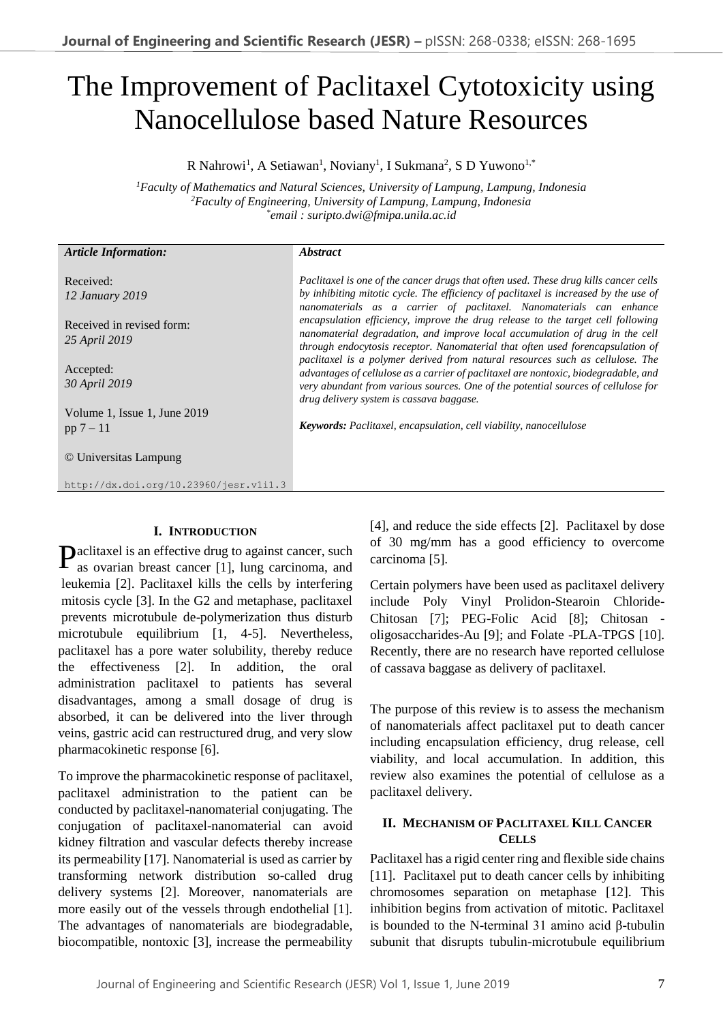# The Improvement of Paclitaxel Cytotoxicity using Nanocellulose based Nature Resources

R Nahrowi<sup>1</sup>, A Setiawan<sup>1</sup>, Noviany<sup>1</sup>, I Sukmana<sup>2</sup>, S D Yuwono<sup>1,\*</sup>

*<sup>1</sup>Faculty of Mathematics and Natural Sciences, University of Lampung, Lampung, Indonesia <sup>2</sup>Faculty of Engineering, University of Lampung, Lampung, Indonesia \* email : suripto.dwi@fmipa.unila.ac.id*

| <b>Article Information:</b>                | <i><b>Abstract</b></i>                                                                                                                                                                                                                                                                                |
|--------------------------------------------|-------------------------------------------------------------------------------------------------------------------------------------------------------------------------------------------------------------------------------------------------------------------------------------------------------|
| Received:<br>12 January 2019               | Paclitaxel is one of the cancer drugs that often used. These drug kills cancer cells<br>by inhibiting mitotic cycle. The efficiency of paclitaxel is increased by the use of<br>nanomaterials as a carrier of paclitaxel. Nanomaterials can enhance                                                   |
| Received in revised form:<br>25 April 2019 | encapsulation efficiency, improve the drug release to the target cell following<br>nanomaterial degradation, and improve local accumulation of drug in the cell<br>through endocytosis receptor. Nanomaterial that often used forencapsulation of                                                     |
| Accepted:<br>30 April 2019                 | paclitaxel is a polymer derived from natural resources such as cellulose. The<br>advantages of cellulose as a carrier of paclitaxel are nontoxic, biodegradable, and<br>very abundant from various sources. One of the potential sources of cellulose for<br>drug delivery system is cassava baggase. |
| Volume 1, Issue 1, June 2019               |                                                                                                                                                                                                                                                                                                       |
| $pp 7 - 11$                                | <b>Keywords:</b> Paclitaxel, encapsulation, cell viability, nanocellulose                                                                                                                                                                                                                             |
| © Universitas Lampung                      |                                                                                                                                                                                                                                                                                                       |
| http://dx.doi.org/10.23960/jesr.vli1.3     |                                                                                                                                                                                                                                                                                                       |
|                                            |                                                                                                                                                                                                                                                                                                       |

## **I. INTRODUCTION**

Paclitaxel is an effective drug to against cancer, such as ovarian breast cancer [1], lung carcinoma, and as ovarian breast cancer [1], lung carcinoma, and leukemia [2]. Paclitaxel kills the cells by interfering mitosis cycle [3]. In the G2 and metaphase, paclitaxel prevents microtubule de-polymerization thus disturb microtubule equilibrium [1, 4-5]. Nevertheless, paclitaxel has a pore water solubility, thereby reduce the effectiveness [2]. In addition, the oral administration paclitaxel to patients has several disadvantages, among a small dosage of drug is absorbed, it can be delivered into the liver through veins, gastric acid can restructured drug, and very slow pharmacokinetic response [6].

To improve the pharmacokinetic response of paclitaxel, paclitaxel administration to the patient can be conducted by paclitaxel-nanomaterial conjugating. The conjugation of paclitaxel-nanomaterial can avoid kidney filtration and vascular defects thereby increase its permeability [17]. Nanomaterial is used as carrier by transforming network distribution so-called drug delivery systems [2]. Moreover, nanomaterials are more easily out of the vessels through endothelial [1]. The advantages of nanomaterials are biodegradable, biocompatible, nontoxic [3], increase the permeability

[4], and reduce the side effects [2]. Paclitaxel by dose of 30 mg/mm has a good efficiency to overcome carcinoma [5].

Certain polymers have been used as paclitaxel delivery include Poly Vinyl Prolidon-Stearoin Chloride-Chitosan [7]; PEG-Folic Acid [8]; Chitosan oligosaccharides-Au [9]; and Folate -PLA-TPGS [10]. Recently, there are no research have reported cellulose of cassava baggase as delivery of paclitaxel.

The purpose of this review is to assess the mechanism of nanomaterials affect paclitaxel put to death cancer including encapsulation efficiency, drug release, cell viability, and local accumulation. In addition, this review also examines the potential of cellulose as a paclitaxel delivery.

## **II. MECHANISM OF PACLITAXEL KILL CANCER CELLS**

Paclitaxel has a rigid center ring and flexible side chains [11]. Paclitaxel put to death cancer cells by inhibiting chromosomes separation on metaphase [12]. This inhibition begins from activation of mitotic. Paclitaxel is bounded to the N-terminal 31 amino acid β-tubulin subunit that disrupts tubulin-microtubule equilibrium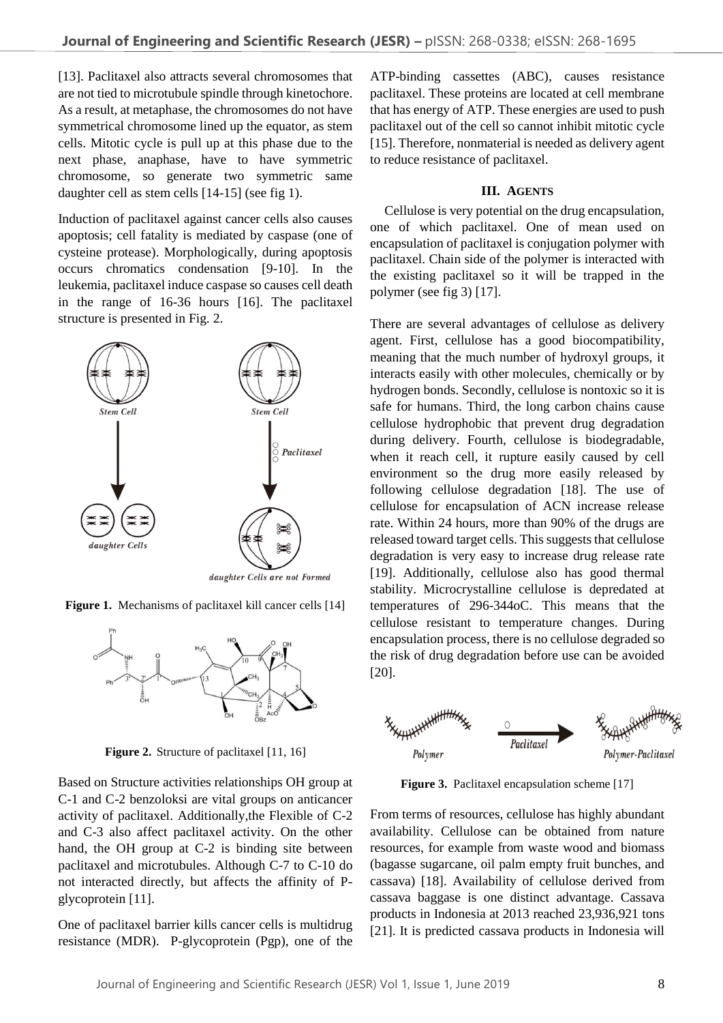[13]. Paclitaxel also attracts several chromosomes that are not tied to microtubule spindle through kinetochore. As a result, at metaphase, the chromosomes do not have symmetrical chromosome lined up the equator, as stem cells. Mitotic cycle is pull up at this phase due to the next phase, anaphase, have to have symmetric chromosome, so generate two symmetric same daughter cell as stem cells [14-15] (see fig 1).

Induction of paclitaxel against cancer cells also causes apoptosis; cell fatality is mediated by caspase (one of cysteine protease). Morphologically, during apoptosis occurs chromatics condensation [9-10]. In the leukemia, paclitaxel induce caspase so causes cell death in the range of 16-36 hours [16]. The paclitaxel structure is presented in Fig. 2.



**Figure 1.** Mechanisms of paclitaxel kill cancer cells [14]



**Figure 2.** Structure of paclitaxel [11, 16]

Based on Structure activities relationships OH group at C-1 and C-2 benzoloksi are vital groups on anticancer activity of paclitaxel. Additionally,the Flexible of C-2 and C-3 also affect paclitaxel activity. On the other hand, the OH group at C-2 is binding site between paclitaxel and microtubules. Although C-7 to C-10 do not interacted directly, but affects the affinity of Pglycoprotein [11].

One of paclitaxel barrier kills cancer cells is multidrug resistance (MDR). P-glycoprotein (Pgp), one of the

ATP-binding cassettes (ABC), causes resistance paclitaxel. These proteins are located at cell membrane that has energy of ATP. These energies are used to push paclitaxel out of the cell so cannot inhibit mitotic cycle [15]. Therefore, nonmaterial is needed as delivery agent to reduce resistance of paclitaxel.

#### **III. AGENTS**

Cellulose is very potential on the drug encapsulation, one of which paclitaxel. One of mean used on encapsulation of paclitaxel is conjugation polymer with paclitaxel. Chain side of the polymer is interacted with the existing paclitaxel so it will be trapped in the polymer (see fig 3) [17].

There are several advantages of cellulose as delivery agent. First, cellulose has a good biocompatibility, meaning that the much number of hydroxyl groups, it interacts easily with other molecules, chemically or by hydrogen bonds. Secondly, cellulose is nontoxic so it is safe for humans. Third, the long carbon chains cause cellulose hydrophobic that prevent drug degradation during delivery. Fourth, cellulose is biodegradable, when it reach cell, it rupture easily caused by cell environment so the drug more easily released by following cellulose degradation [18]. The use of cellulose for encapsulation of ACN increase release rate. Within 24 hours, more than 90% of the drugs are released toward target cells. This suggests that cellulose degradation is very easy to increase drug release rate [19]. Additionally, cellulose also has good thermal stability. Microcrystalline cellulose is depredated at temperatures of 296-344oC. This means that the cellulose resistant to temperature changes. During encapsulation process, there is no cellulose degraded so the risk of drug degradation before use can be avoided [20].



**Figure 3.** Paclitaxel encapsulation scheme [17]

From terms of resources, cellulose has highly abundant availability. Cellulose can be obtained from nature resources, for example from waste wood and biomass (bagasse sugarcane, oil palm empty fruit bunches, and cassava) [18]. Availability of cellulose derived from cassava baggase is one distinct advantage. Cassava products in Indonesia at 2013 reached 23,936,921 tons [21]. It is predicted cassava products in Indonesia will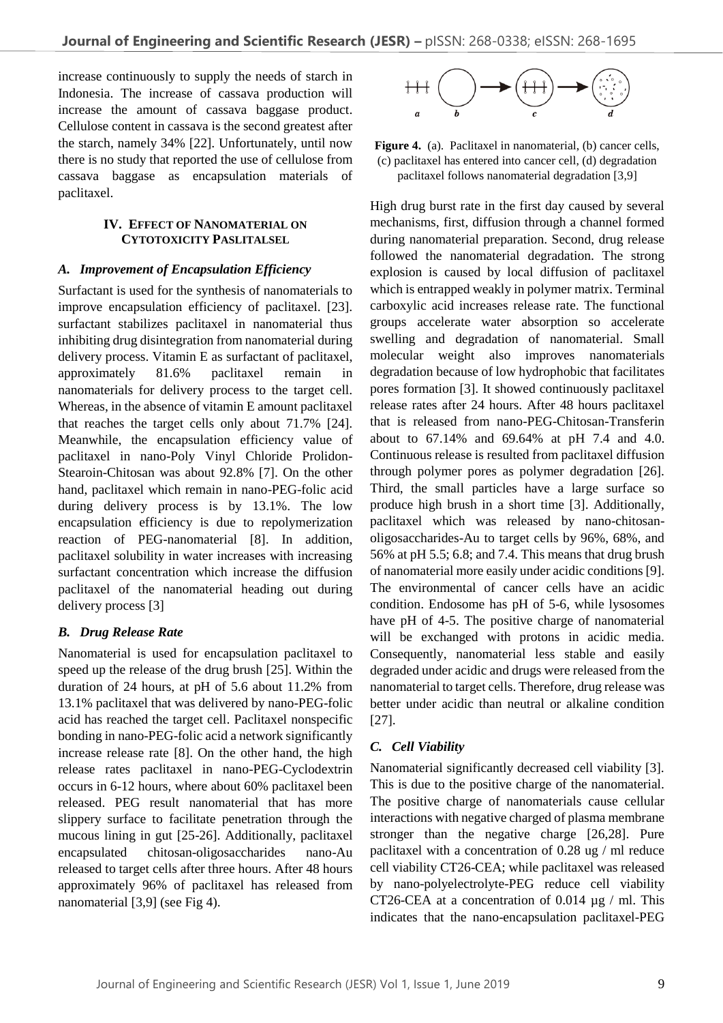increase continuously to supply the needs of starch in Indonesia. The increase of cassava production will increase the amount of cassava baggase product. Cellulose content in cassava is the second greatest after the starch, namely 34% [22]. Unfortunately, until now there is no study that reported the use of cellulose from cassava baggase as encapsulation materials of paclitaxel.

## **IV. EFFECT OF NANOMATERIAL ON CYTOTOXICITY PASLITALSEL**

## *A. Improvement of Encapsulation Efficiency*

Surfactant is used for the synthesis of nanomaterials to improve encapsulation efficiency of paclitaxel. [23]. surfactant stabilizes paclitaxel in nanomaterial thus inhibiting drug disintegration from nanomaterial during delivery process. Vitamin E as surfactant of paclitaxel, approximately 81.6% paclitaxel remain in nanomaterials for delivery process to the target cell. Whereas, in the absence of vitamin E amount paclitaxel that reaches the target cells only about 71.7% [24]. Meanwhile, the encapsulation efficiency value of paclitaxel in nano-Poly Vinyl Chloride Prolidon-Stearoin-Chitosan was about 92.8% [7]. On the other hand, paclitaxel which remain in nano-PEG-folic acid during delivery process is by 13.1%. The low encapsulation efficiency is due to repolymerization reaction of PEG-nanomaterial [8]. In addition, paclitaxel solubility in water increases with increasing surfactant concentration which increase the diffusion paclitaxel of the nanomaterial heading out during delivery process [3]

## *B. Drug Release Rate*

Nanomaterial is used for encapsulation paclitaxel to speed up the release of the drug brush [25]. Within the duration of 24 hours, at pH of 5.6 about 11.2% from 13.1% paclitaxel that was delivered by nano-PEG-folic acid has reached the target cell. Paclitaxel nonspecific bonding in nano-PEG-folic acid a network significantly increase release rate [8]. On the other hand, the high release rates paclitaxel in nano-PEG-Cyclodextrin occurs in 6-12 hours, where about 60% paclitaxel been released. PEG result nanomaterial that has more slippery surface to facilitate penetration through the mucous lining in gut [25-26]. Additionally, paclitaxel encapsulated chitosan-oligosaccharides nano-Au released to target cells after three hours. After 48 hours approximately 96% of paclitaxel has released from nanomaterial [3,9] (see Fig 4).



**Figure 4.** (a). Paclitaxel in nanomaterial, (b) cancer cells, (c) paclitaxel has entered into cancer cell, (d) degradation paclitaxel follows nanomaterial degradation [3,9]

High drug burst rate in the first day caused by several mechanisms, first, diffusion through a channel formed during nanomaterial preparation. Second, drug release followed the nanomaterial degradation. The strong explosion is caused by local diffusion of paclitaxel which is entrapped weakly in polymer matrix. Terminal carboxylic acid increases release rate. The functional groups accelerate water absorption so accelerate swelling and degradation of nanomaterial. Small molecular weight also improves nanomaterials degradation because of low hydrophobic that facilitates pores formation [3]. It showed continuously paclitaxel release rates after 24 hours. After 48 hours paclitaxel that is released from nano-PEG-Chitosan-Transferin about to 67.14% and 69.64% at pH 7.4 and 4.0. Continuous release is resulted from paclitaxel diffusion through polymer pores as polymer degradation [26]. Third, the small particles have a large surface so produce high brush in a short time [3]. Additionally, paclitaxel which was released by nano-chitosanoligosaccharides-Au to target cells by 96%, 68%, and 56% at pH 5.5; 6.8; and 7.4. This means that drug brush of nanomaterial more easily under acidic conditions [9]. The environmental of cancer cells have an acidic condition. Endosome has pH of 5-6, while lysosomes have pH of 4-5. The positive charge of nanomaterial will be exchanged with protons in acidic media. Consequently, nanomaterial less stable and easily degraded under acidic and drugs were released from the nanomaterial to target cells. Therefore, drug release was better under acidic than neutral or alkaline condition [27].

## *C. Cell Viability*

Nanomaterial significantly decreased cell viability [3]. This is due to the positive charge of the nanomaterial. The positive charge of nanomaterials cause cellular interactions with negative charged of plasma membrane stronger than the negative charge [26,28]. Pure paclitaxel with a concentration of 0.28 ug / ml reduce cell viability CT26-CEA; while paclitaxel was released by nano-polyelectrolyte-PEG reduce cell viability CT26-CEA at a concentration of 0.014 µg / ml. This indicates that the nano-encapsulation paclitaxel-PEG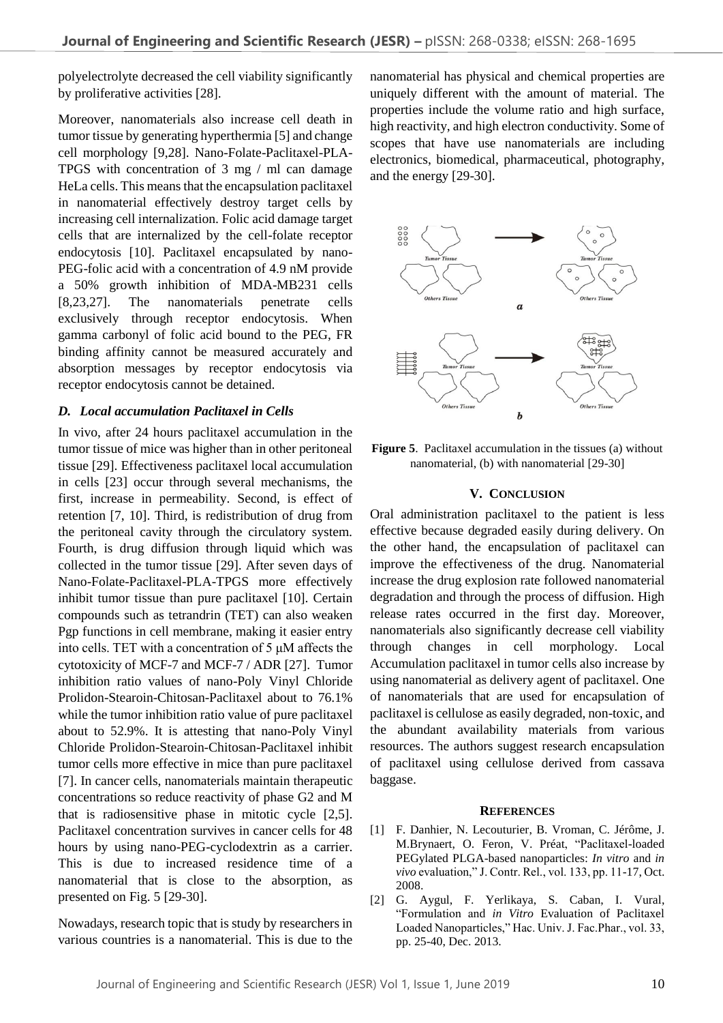polyelectrolyte decreased the cell viability significantly by proliferative activities [28].

Moreover, nanomaterials also increase cell death in tumor tissue by generating hyperthermia [5] and change cell morphology [9,28]. Nano-Folate-Paclitaxel-PLA-TPGS with concentration of 3 mg / ml can damage HeLa cells. This means that the encapsulation paclitaxel in nanomaterial effectively destroy target cells by increasing cell internalization. Folic acid damage target cells that are internalized by the cell-folate receptor endocytosis [10]. Paclitaxel encapsulated by nano-PEG-folic acid with a concentration of 4.9 nM provide a 50% growth inhibition of MDA-MB231 cells [8,23,27]. The nanomaterials penetrate cells exclusively through receptor endocytosis. When gamma carbonyl of folic acid bound to the PEG, FR binding affinity cannot be measured accurately and absorption messages by receptor endocytosis via receptor endocytosis cannot be detained.

## *D. Local accumulation Paclitaxel in Cells*

In vivo, after 24 hours paclitaxel accumulation in the tumor tissue of mice was higher than in other peritoneal tissue [29]. Effectiveness paclitaxel local accumulation in cells [23] occur through several mechanisms, the first, increase in permeability. Second, is effect of retention [7, 10]. Third, is redistribution of drug from the peritoneal cavity through the circulatory system. Fourth, is drug diffusion through liquid which was collected in the tumor tissue [29]. After seven days of Nano-Folate-Paclitaxel-PLA-TPGS more effectively inhibit tumor tissue than pure paclitaxel [10]. Certain compounds such as tetrandrin (TET) can also weaken Pgp functions in cell membrane, making it easier entry into cells. TET with a concentration of 5 μM affects the cytotoxicity of MCF-7 and MCF-7 / ADR [27]. Tumor inhibition ratio values of nano-Poly Vinyl Chloride Prolidon-Stearoin-Chitosan-Paclitaxel about to 76.1% while the tumor inhibition ratio value of pure paclitaxel about to 52.9%. It is attesting that nano-Poly Vinyl Chloride Prolidon-Stearoin-Chitosan-Paclitaxel inhibit tumor cells more effective in mice than pure paclitaxel [7]. In cancer cells, nanomaterials maintain therapeutic concentrations so reduce reactivity of phase G2 and M that is radiosensitive phase in mitotic cycle [2,5]. Paclitaxel concentration survives in cancer cells for 48 hours by using nano-PEG-cyclodextrin as a carrier. This is due to increased residence time of a nanomaterial that is close to the absorption, as presented on Fig. 5 [29-30].

Nowadays, research topic that is study by researchers in various countries is a nanomaterial. This is due to the

nanomaterial has physical and chemical properties are uniquely different with the amount of material. The properties include the volume ratio and high surface, high reactivity, and high electron conductivity. Some of scopes that have use nanomaterials are including electronics, biomedical, pharmaceutical, photography, and the energy [29-30].



**Figure 5**. Paclitaxel accumulation in the tissues (a) without nanomaterial, (b) with nanomaterial [29-30]

#### **V. CONCLUSION**

Oral administration paclitaxel to the patient is less effective because degraded easily during delivery. On the other hand, the encapsulation of paclitaxel can improve the effectiveness of the drug. Nanomaterial increase the drug explosion rate followed nanomaterial degradation and through the process of diffusion. High release rates occurred in the first day. Moreover, nanomaterials also significantly decrease cell viability through changes in cell morphology. Local Accumulation paclitaxel in tumor cells also increase by using nanomaterial as delivery agent of paclitaxel. One of nanomaterials that are used for encapsulation of paclitaxel is cellulose as easily degraded, non-toxic, and the abundant availability materials from various resources. The authors suggest research encapsulation of paclitaxel using cellulose derived from cassava baggase.

#### **REFERENCES**

- [1] F. [Danhier, N. Lecouturier, B. Vroman, C. Jérôme, J.](https://www.sciencedirect.com/science/article/pii/S0168365908006196#!)  [M.Brynaert,](https://www.sciencedirect.com/science/article/pii/S0168365908006196#!) [O. Feron,](https://www.sciencedirect.com/science/article/pii/S0168365908006196#!) [V. Préat,](https://www.sciencedirect.com/science/article/pii/S0168365908006196#!) "Paclitaxel-loaded PEGylated PLGA-based nanoparticles: *In vitro* and *in vivo* evaluation," J. Contr. Rel., vol. 133, pp. 11-17, Oct. 2008.
- [2] G. Aygul, F. Yerlikaya, S. Caban, I. Vural, "Formulation and *in Vitro* Evaluation of Paclitaxel Loaded Nanoparticles," Hac. Univ. J. Fac.Phar., vol. 33, pp. 25-40, Dec. 2013.